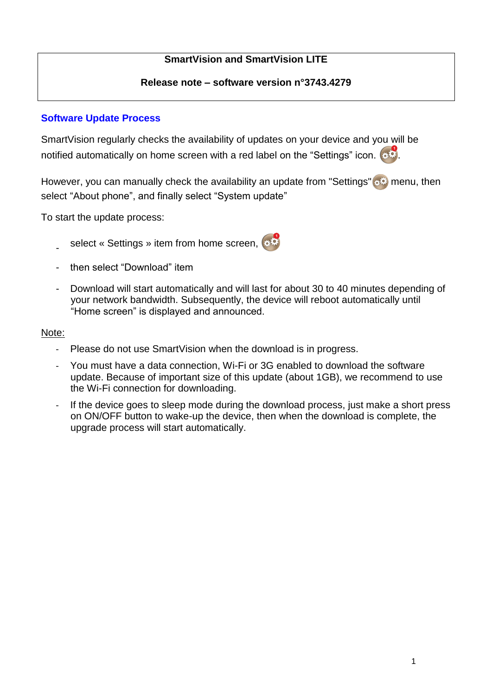# **SmartVision and SmartVision LITE**

## **Release note – software version n°3743.4279**

# **Software Update Process**

SmartVision regularly checks the availability of updates on your device and you will be notified automatically on home screen with a red label on the "Settings" icon.  $\bullet$ 

However, you can manually check the availability an update from "Settings" set menu, then select "About phone", and finally select "System update"

To start the update process:

- select « Settings » item from home screen,
- then select "Download" item
- Download will start automatically and will last for about 30 to 40 minutes depending of your network bandwidth. Subsequently, the device will reboot automatically until "Home screen" is displayed and announced.

## Note:

- Please do not use SmartVision when the download is in progress.
- You must have a data connection, Wi-Fi or 3G enabled to download the software update. Because of important size of this update (about 1GB), we recommend to use the Wi-Fi connection for downloading.
- If the device goes to sleep mode during the download process, just make a short press on ON/OFF button to wake-up the device, then when the download is complete, the upgrade process will start automatically.